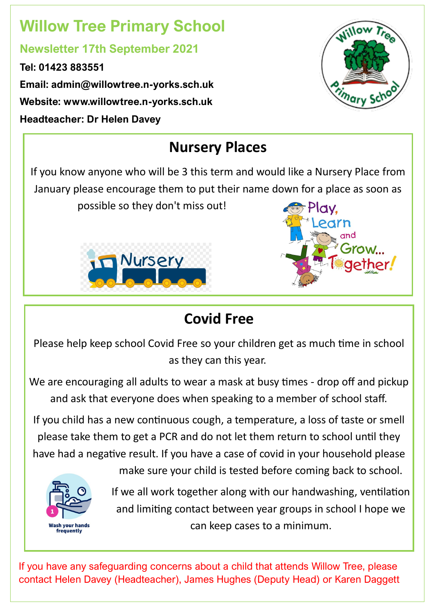# **Willow Tree Primary School**

### **Newsletter 17th September 2021**

**Tel: 01423 883551 Email: admin@willowtree.n-yorks.sch.uk Website: www.willowtree.n-yorks.sch.uk Headteacher: Dr Helen Davey**



## **Nursery Places**

If you know anyone who will be 3 this term and would like a Nursery Place from January please encourage them to put their name down for a place as soon as possible so they don't miss out!





## **Covid Free**

Please help keep school Covid Free so your children get as much time in school as they can this year.

We are encouraging all adults to wear a mask at busy times - drop off and pickup and ask that everyone does when speaking to a member of school staff.

If you child has a new continuous cough, a temperature, a loss of taste or smell please take them to get a PCR and do not let them return to school until they have had a negative result. If you have a case of covid in your household please



make sure your child is tested before coming back to school.

If we all work together along with our handwashing, ventilation and limiting contact between year groups in school I hope we can keep cases to a minimum.

If you have any safeguarding concerns about a child that attends Willow Tree, please contact Helen Davey (Headteacher), James Hughes (Deputy Head) or Karen Daggett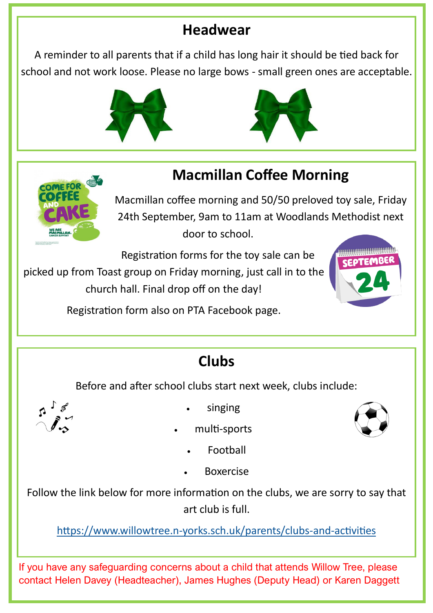### **Headwear**

A reminder to all parents that if a child has long hair it should be tied back for school and not work loose. Please no large bows - small green ones are acceptable.





## **Macmillan Coffee Morning**



Macmillan coffee morning and 50/50 preloved toy sale, Friday 24th September, 9am to 11am at Woodlands Methodist next door to school.

Registration forms for the toy sale can be

picked up from Toast group on Friday morning, just call in to the church hall. Final drop off on the day!



Registration form also on PTA Facebook page.

# **Clubs**

Before and after school clubs start next week, clubs include:



- singing
- multi-sports



- **Football**
- Boxercise

Follow the link below for more information on the clubs, we are sorry to say that art club is full.

https://www.willowtree.n-yorks.sch.uk/parents/clubs-and-activities

If you have any safeguarding concerns about a child that attends Willow Tree, please contact Helen Davey (Headteacher), James Hughes (Deputy Head) or Karen Daggett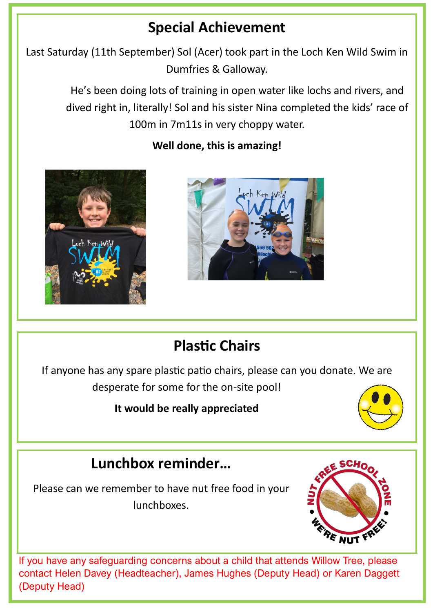## **Special Achievement**

Last Saturday (11th September) Sol (Acer) took part in the Loch Ken Wild Swim in Dumfries & Galloway.

> He's been doing lots of training in open water like lochs and rivers, and dived right in, literally! Sol and his sister Nina completed the kids' race of 100m in 7m11s in very choppy water.



#### **Well done, this is amazing!**



## **Plastic Chairs**

If anyone has any spare plastic patio chairs, please can you donate. We are desperate for some for the on-site pool!

#### **It would be really appreciated**



## **Lunchbox reminder…**

Please can we remember to have nut free food in your lunchboxes.



If you have any safeguarding concerns about a child that attends Willow Tree, please contact Helen Davey (Headteacher), James Hughes (Deputy Head) or Karen Daggett (Deputy Head)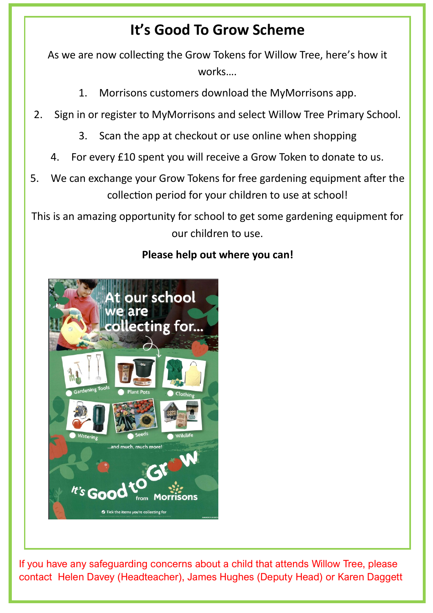### **It's Good To Grow Scheme**

As we are now collecting the Grow Tokens for Willow Tree, here's how it works….

- 1. Morrisons customers download the MyMorrisons app.
- 2. Sign in or register to MyMorrisons and select Willow Tree Primary School.
	- 3. Scan the app at checkout or use online when shopping
	- 4. For every £10 spent you will receive a Grow Token to donate to us.
- 5. We can exchange your Grow Tokens for free gardening equipment after the collection period for your children to use at school!

This is an amazing opportunity for school to get some gardening equipment for our children to use.



#### **Please help out where you can!**

If you have any safeguarding concerns about a child that attends Willow Tree, please contact Helen Davey (Headteacher), James Hughes (Deputy Head) or Karen Daggett